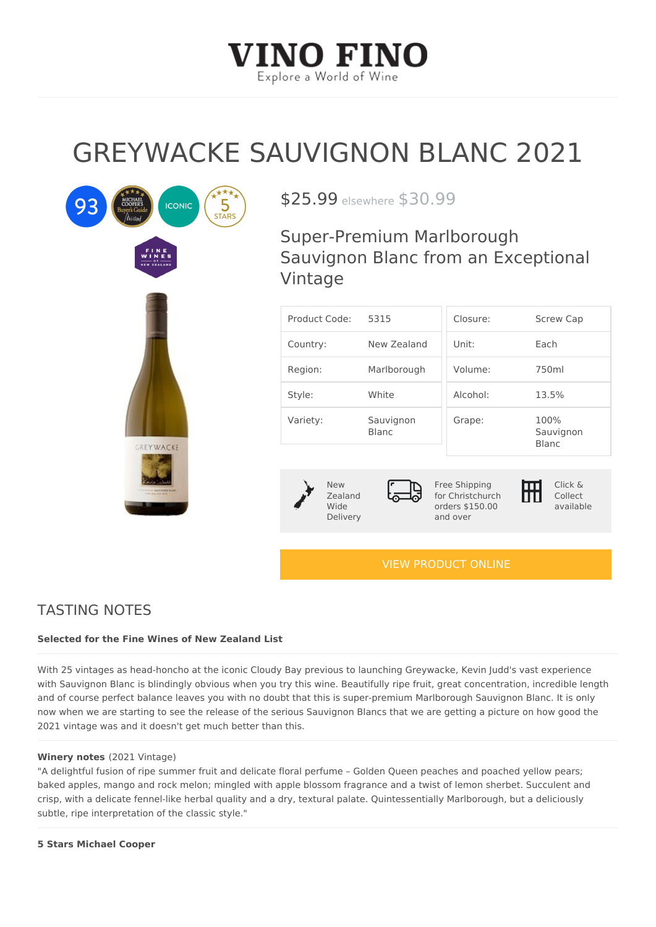# GREYWACKE SAUVIGNON BLAN

 $$25.99$ sewhere  $30.99$ 

Super-Premium Marlborough Sauvignon Blanc from an Except Vintage

| Product Code5:315                       |  |                                                                            |  | Closure:           | Screw Cap                         |  |
|-----------------------------------------|--|----------------------------------------------------------------------------|--|--------------------|-----------------------------------|--|
| $C$ ountry:                             |  | New Zealand Unit:                                                          |  |                    | Each                              |  |
| Region:                                 |  | Marlborough Volume:                                                        |  |                    | $750$ m l                         |  |
| Style:                                  |  | White                                                                      |  | Alcohol:           | 13.5%                             |  |
| Variety:                                |  | Sauvignon<br><b>Blanc</b>                                                  |  | Grape:             | 100%<br>Sauvignon<br><b>Blanc</b> |  |
|                                         |  |                                                                            |  |                    |                                   |  |
| N e w<br>$Z$ ealand<br>Wide<br>Delivery |  | Free Shipping<br>for Christchurch<br>orders \$150.00 available<br>and over |  | Click &<br>Collect |                                   |  |
|                                         |  |                                                                            |  |                    |                                   |  |

### [VIEW PRODUCT ONLINE](https://vinofino.co.nz/product/greywacke-sauvignon-blanc-2021/)

## TASTING NOTES

Selected for the Fine Wines of New Zealand List

With 25 vintages as head-honcho at the iconic Cloudy Bay previous to launching Greywacke, Ke with Sauvignon Blanc is blindingly obvious when you try this wine. Beautifully ripe fruit, great and of course perfect balance leaves you with no doubt that this is super-premium Marlborough now when we are starting to see the release of the serious Sauvignon Blancs that we are gettin 2021 vintage was and it doesn't get much better than this.

#### Winery note 2021 Vintage)

"A delightful fusion of ripe summer fruit and delicate floral perfume Golden Queen peaches an baked apples, mango and rock melon; mingled with apple blossom fragrance and a twist of lemo crisp, with a delicate fennel-like herbal quality and a dry, textural palate. Quintessentially Mar subtle, ripe interpretation of the classic style."

5 Stars Michael Cooper